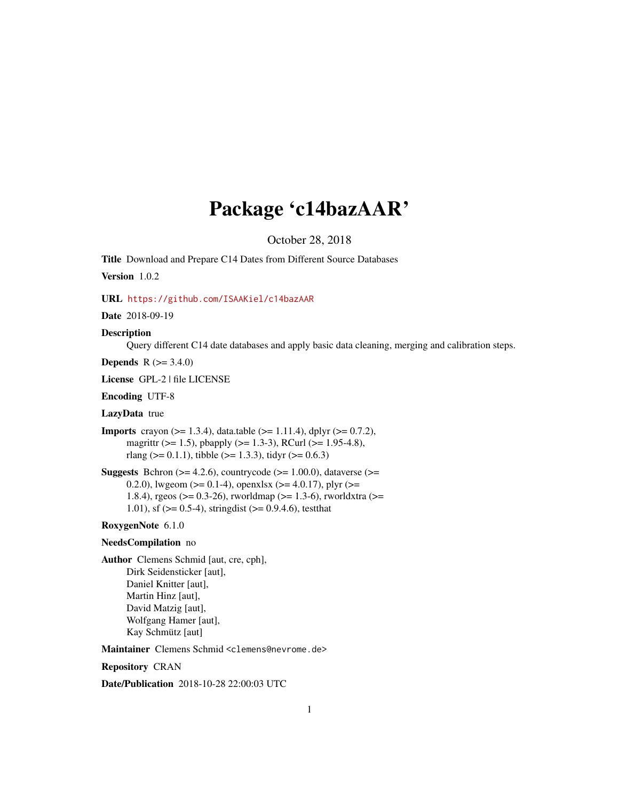# Package 'c14bazAAR'

October 28, 2018

Title Download and Prepare C14 Dates from Different Source Databases

Version 1.0.2

#### URL <https://github.com/ISAAKiel/c14bazAAR>

Date 2018-09-19

#### **Description**

Query different C14 date databases and apply basic data cleaning, merging and calibration steps.

**Depends** R  $(>= 3.4.0)$ 

License GPL-2 | file LICENSE

Encoding UTF-8

#### LazyData true

**Imports** crayon ( $> = 1.3.4$ ), data.table ( $> = 1.11.4$ ), dplyr ( $> = 0.7.2$ ), magrittr (>= 1.5), pbapply (>= 1.3-3), RCurl (>= 1.95-4.8), rlang ( $> = 0.1.1$ ), tibble ( $> = 1.3.3$ ), tidyr ( $> = 0.6.3$ )

**Suggests** Bchron ( $>= 4.2.6$ ), countrycode ( $>= 1.00.0$ ), dataverse ( $>=$ 0.2.0), lwgeom ( $>= 0.1-4$ ), openxlsx ( $>= 4.0.17$ ), plyr ( $>= 0.1$ 1.8.4), rgeos (>= 0.3-26), rworldmap (>= 1.3-6), rworldxtra (>= 1.01), sf ( $> = 0.5-4$ ), stringdist ( $> = 0.9.4.6$ ), testthat

#### RoxygenNote 6.1.0

#### NeedsCompilation no

Author Clemens Schmid [aut, cre, cph], Dirk Seidensticker [aut], Daniel Knitter [aut], Martin Hinz [aut], David Matzig [aut], Wolfgang Hamer [aut], Kay Schmütz [aut]

Maintainer Clemens Schmid <clemens@nevrome.de>

Repository CRAN

Date/Publication 2018-10-28 22:00:03 UTC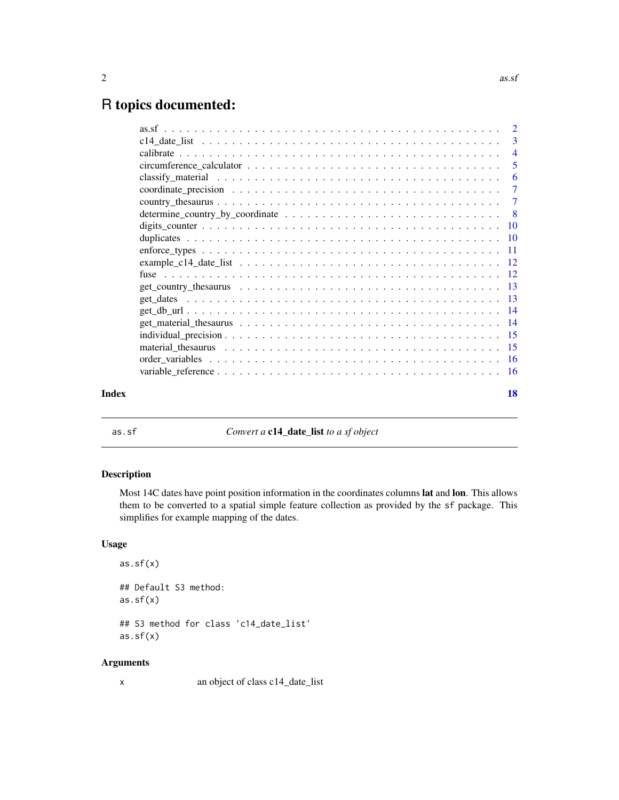# <span id="page-1-0"></span>R topics documented:

|       | classify material $\ldots \ldots \ldots \ldots \ldots \ldots \ldots \ldots \ldots \ldots \ldots \ldots$ |    |
|-------|---------------------------------------------------------------------------------------------------------|----|
|       |                                                                                                         |    |
|       |                                                                                                         |    |
|       |                                                                                                         |    |
|       |                                                                                                         |    |
|       |                                                                                                         |    |
|       |                                                                                                         |    |
|       |                                                                                                         |    |
|       |                                                                                                         |    |
|       |                                                                                                         |    |
|       |                                                                                                         |    |
|       |                                                                                                         |    |
|       |                                                                                                         |    |
|       |                                                                                                         |    |
|       |                                                                                                         |    |
|       |                                                                                                         |    |
|       |                                                                                                         |    |
| Index |                                                                                                         | 18 |

as.sf *Convert a* c14\_date\_list *to a sf object*

# Description

Most 14C dates have point position information in the coordinates columns lat and lon. This allows them to be converted to a spatial simple feature collection as provided by the sf package. This simplifies for example mapping of the dates.

# Usage

as.sf(x) ## Default S3 method: as.sf(x) ## S3 method for class 'c14\_date\_list' as.sf(x)

#### Arguments

x an object of class c14\_date\_list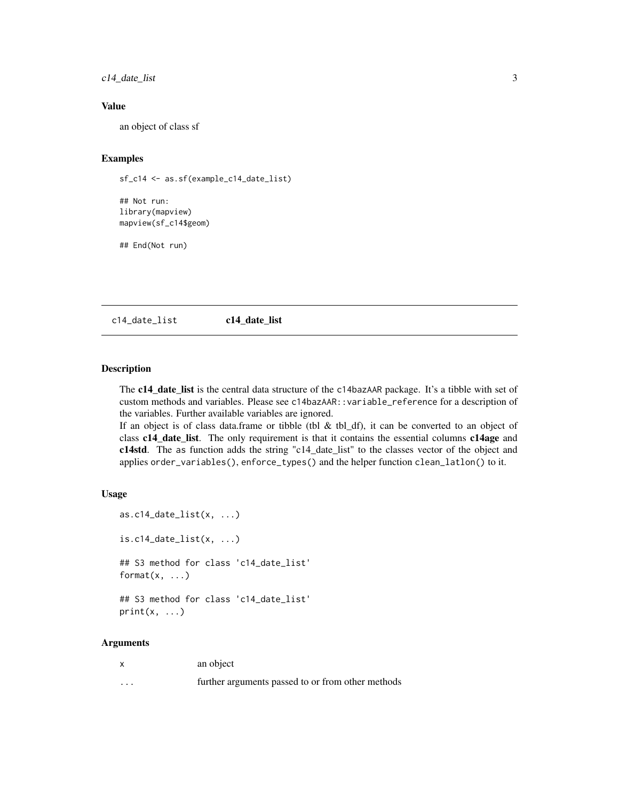<span id="page-2-0"></span>c14\_date\_list 3

### Value

an object of class sf

#### Examples

sf\_c14 <- as.sf(example\_c14\_date\_list)

## Not run: library(mapview) mapview(sf\_c14\$geom)

## End(Not run)

c14\_date\_list c14\_date\_list

#### Description

The c14\_date\_list is the central data structure of the c14bazAAR package. It's a tibble with set of custom methods and variables. Please see c14bazAAR::variable\_reference for a description of the variables. Further available variables are ignored.

If an object is of class data.frame or tibble (tbl  $\&$  tbl $_d$ f), it can be converted to an object of class c14\_date\_list. The only requirement is that it contains the essential columns c14age and c14std. The as function adds the string "c14\_date\_list" to the classes vector of the object and applies order\_variables(), enforce\_types() and the helper function clean\_latlon() to it.

#### Usage

```
as.c14\_date\_list(x, ...)is.c14\_date\_list(x, ...)## S3 method for class 'c14_date_list'
format(x, \ldots)## S3 method for class 'c14_date_list'
print(x, \ldots)
```
#### Arguments

|          | an object                                         |
|----------|---------------------------------------------------|
| $\cdots$ | further arguments passed to or from other methods |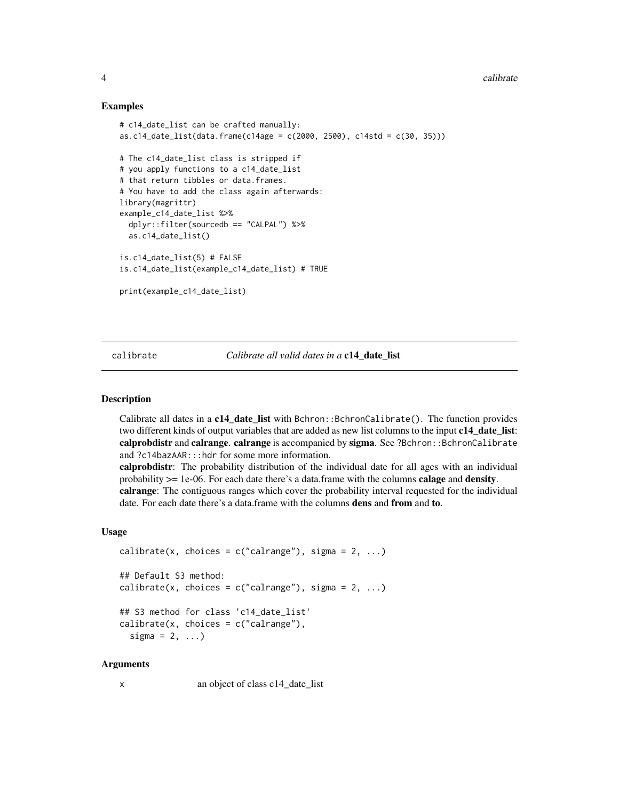#### Examples

```
# c14_date_list can be crafted manually:
as.c14_date_list(data.frame(c14age = c(2000, 2500), c14std = c(30, 35)))
# The c14_date_list class is stripped if
# you apply functions to a c14_date_list
# that return tibbles or data.frames.
# You have to add the class again afterwards:
library(magrittr)
example_c14_date_list %>%
 dplyr::filter(sourcedb == "CALPAL") %>%
 as.c14_date_list()
is.c14_date_list(5) # FALSE
is.c14_date_list(example_c14_date_list) # TRUE
print(example_c14_date_list)
```
calibrate *Calibrate all valid dates in a* c14\_date\_list

#### Description

Calibrate all dates in a c14 date list with Bchron::BchronCalibrate(). The function provides two different kinds of output variables that are added as new list columns to the input **c14\_date\_list**: calprobdistr and calrange. calrange is accompanied by sigma. See ?Bchron:: BchronCalibrate and ?c14bazAAR:::hdr for some more information.

calprobdistr: The probability distribution of the individual date for all ages with an individual probability  $>= 1e-06$ . For each date there's a data.frame with the columns **calage** and **density**. calrange: The contiguous ranges which cover the probability interval requested for the individual date. For each date there's a data.frame with the columns **dens** and **from** and **to**.

#### Usage

```
calibrate(x, choices = c("calrange"), sigma = 2, ...)
## Default S3 method:
calibrate(x, choices = c("calrange"), sigma = 2, ...)
## S3 method for class 'c14_date_list'
calibrate(x, choices = c("calrange"),sigma = 2, ...)
```
#### Arguments

x an object of class c14\_date\_list

<span id="page-3-0"></span>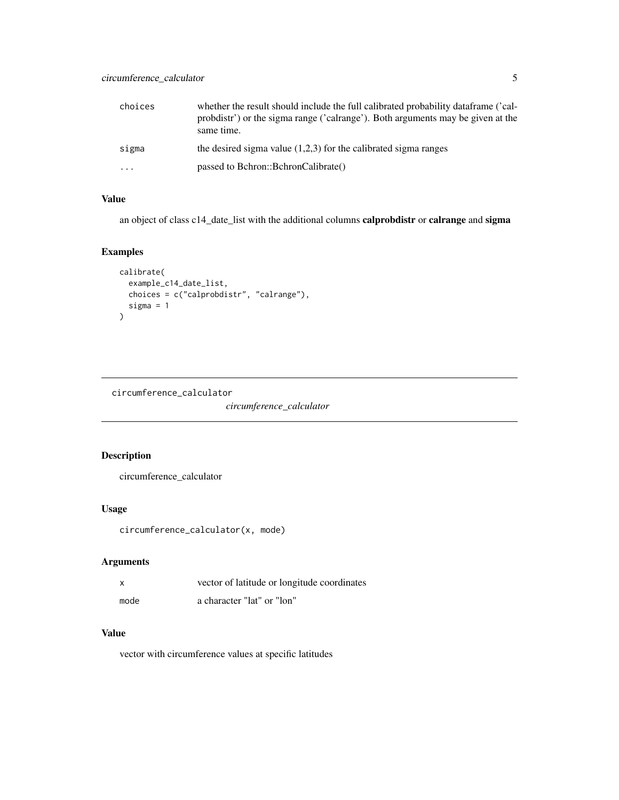<span id="page-4-0"></span>

| choices  | whether the result should include the full calibrated probability data frame ('cal-<br>probdistr') or the sigma range ('calrange'). Both arguments may be given at the<br>same time. |
|----------|--------------------------------------------------------------------------------------------------------------------------------------------------------------------------------------|
| sigma    | the desired sigma value $(1,2,3)$ for the calibrated sigma ranges                                                                                                                    |
| $\cdots$ | passed to Bchron::BchronCalibrate()                                                                                                                                                  |

# Value

an object of class c14\_date\_list with the additional columns calprobdistr or calrange and sigma

# Examples

```
calibrate(
  example_c14_date_list,
  choices = c("calprobdistr", "calrange"),
  sigma = 1
\mathcal{L}
```
circumference\_calculator

*circumference\_calculator*

# Description

circumference\_calculator

#### Usage

circumference\_calculator(x, mode)

# Arguments

| X    | vector of latitude or longitude coordinates |
|------|---------------------------------------------|
| mode | a character "lat" or "lon"                  |

# Value

vector with circumference values at specific latitudes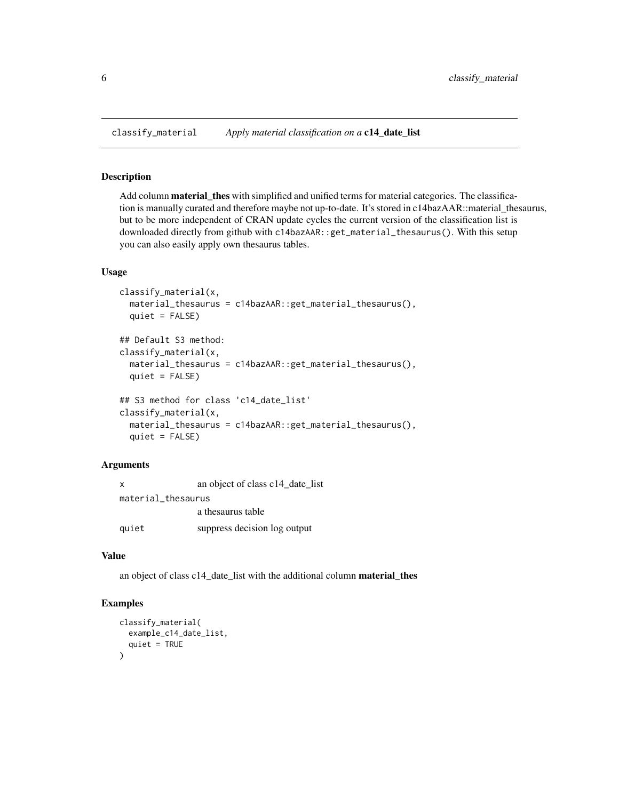#### Description

Add column **material\_thes** with simplified and unified terms for material categories. The classification is manually curated and therefore maybe not up-to-date. It's stored in c14bazAAR::material\_thesaurus, but to be more independent of CRAN update cycles the current version of the classification list is downloaded directly from github with c14bazAAR::get\_material\_thesaurus(). With this setup you can also easily apply own thesaurus tables.

#### Usage

```
classify_material(x,
  material_thesaurus = c14bazAAR::get_material_thesaurus(),
  quiet = FALSE)
## Default S3 method:
classify_material(x,
  material_thesaurus = c14bazAAR::get_material_thesaurus(),
  quiet = FALSE)
## S3 method for class 'c14_date_list'
classify_material(x,
  material_thesaurus = c14bazAAR::get_material_thesaurus(),
  quiet = FALSE)
```
#### Arguments

| $\mathsf{x}$       | an object of class c14_date_list |  |
|--------------------|----------------------------------|--|
| material_thesaurus |                                  |  |
|                    | a thesaurus table                |  |
| quiet              | suppress decision log output     |  |

# Value

an object of class c14\_date\_list with the additional column material\_thes

#### Examples

```
classify_material(
  example_c14_date_list,
  quiet = TRUE
\mathcal{L}
```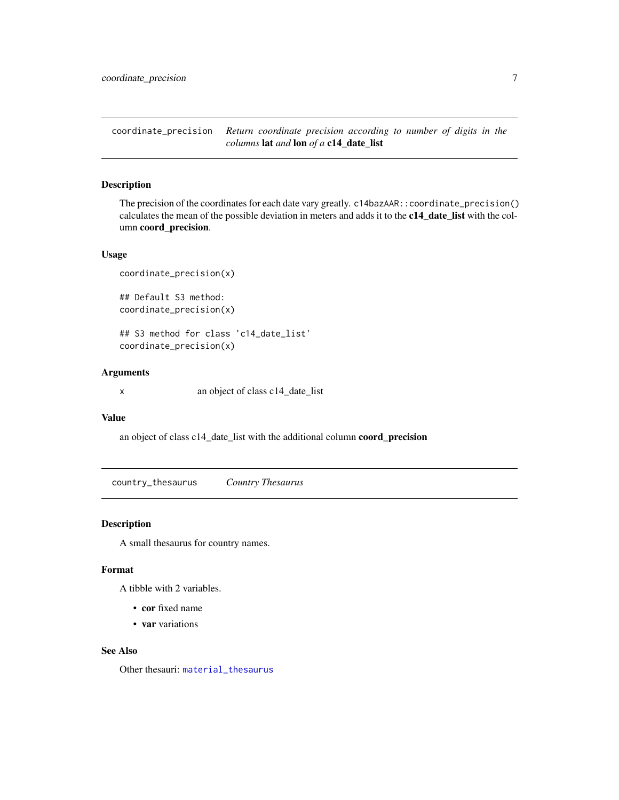<span id="page-6-0"></span>coordinate\_precision *Return coordinate precision according to number of digits in the columns* lat *and* lon *of a* c14\_date\_list

# Description

The precision of the coordinates for each date vary greatly. c14bazAAR::coordinate\_precision() calculates the mean of the possible deviation in meters and adds it to the c14\_date\_list with the column coord\_precision.

#### Usage

```
coordinate_precision(x)
```
## Default S3 method: coordinate\_precision(x)

## S3 method for class 'c14\_date\_list' coordinate\_precision(x)

#### Arguments

x an object of class c14\_date\_list

#### Value

an object of class c14\_date\_list with the additional column coord\_precision

<span id="page-6-1"></span>country\_thesaurus *Country Thesaurus*

# Description

A small thesaurus for country names.

#### Format

A tibble with 2 variables.

- cor fixed name
- var variations

#### See Also

Other thesauri: [material\\_thesaurus](#page-14-1)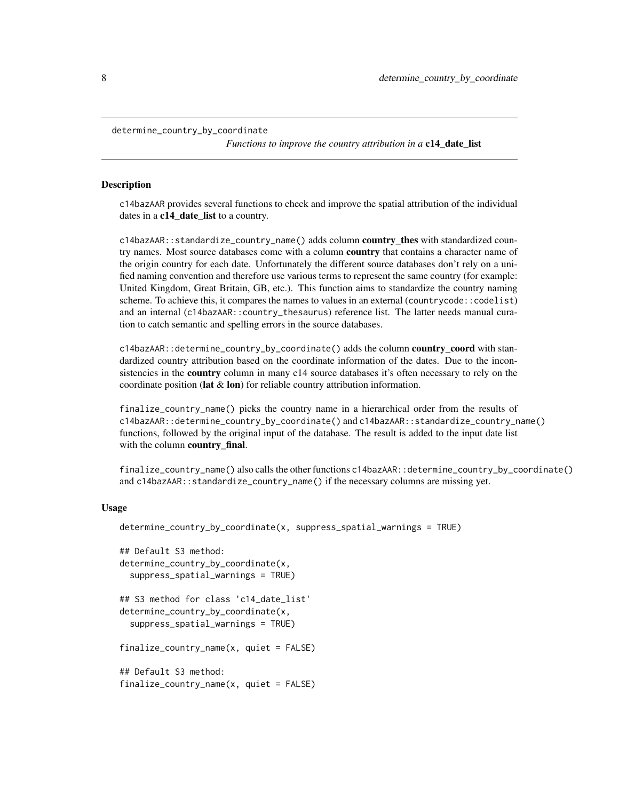```
determine_country_by_coordinate
```
*Functions to improve the country attribution in a* **c14** date list

#### **Description**

c14bazAAR provides several functions to check and improve the spatial attribution of the individual dates in a c14\_date\_list to a country.

c14bazAAR::standardize\_country\_name() adds column country thes with standardized country names. Most source databases come with a column **country** that contains a character name of the origin country for each date. Unfortunately the different source databases don't rely on a unified naming convention and therefore use various terms to represent the same country (for example: United Kingdom, Great Britain, GB, etc.). This function aims to standardize the country naming scheme. To achieve this, it compares the names to values in an external (countrycode::codelist) and an internal (c14bazAAR::country\_thesaurus) reference list. The latter needs manual curation to catch semantic and spelling errors in the source databases.

c14bazAAR::determine\_country\_by\_coordinate() adds the column country\_coord with standardized country attribution based on the coordinate information of the dates. Due to the inconsistencies in the **country** column in many c14 source databases it's often necessary to rely on the coordinate position (lat  $& \text{lon}$ ) for reliable country attribution information.

finalize\_country\_name() picks the country name in a hierarchical order from the results of c14bazAAR::determine\_country\_by\_coordinate() and c14bazAAR::standardize\_country\_name() functions, followed by the original input of the database. The result is added to the input date list with the column country final.

finalize\_country\_name() also calls the other functions c14bazAAR::determine\_country\_by\_coordinate() and c14bazAAR::standardize\_country\_name() if the necessary columns are missing yet.

#### Usage

```
determine_country_by_coordinate(x, suppress_spatial_warnings = TRUE)
```

```
## Default S3 method:
determine_country_by_coordinate(x,
  suppress_spatial_warnings = TRUE)
## S3 method for class 'c14_date_list'
determine_country_by_coordinate(x,
  suppress_spatial_warnings = TRUE)
finalize_country_name(x, quiet = FALSE)
## Default S3 method:
finalize_country_name(x, quiet = FALSE)
```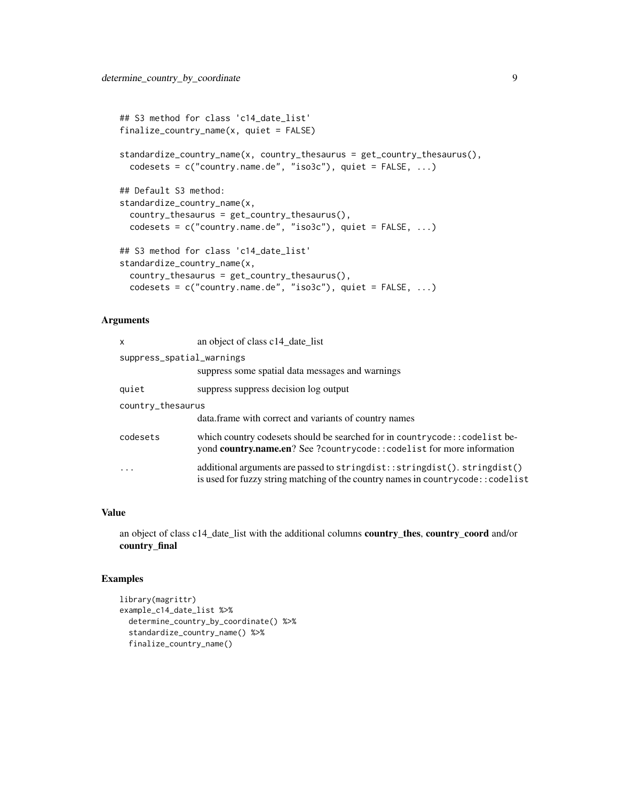```
## S3 method for class 'c14_date_list'
finalize_country_name(x, quiet = FALSE)
standardize_country_name(x, country_thesaurus = get_country_thesaurus(),
  codesets = c("country.name.de", "iso3c"), quiet = FALSE, ...)
## Default S3 method:
standardize_country_name(x,
 country_thesaurus = get_country_thesaurus(),
 codesets = c("country.name.de", "iso3c"), quiet = FALSE, ...)
## S3 method for class 'c14_date_list'
standardize_country_name(x,
 country_thesaurus = get_country_thesaurus(),
  codesets = c("country.name.de", "iso3c"), quiet = FALSE, ...)
```
#### Arguments

| $\mathsf{x}$              | an object of class c14_date_list                                                                                                                             |  |
|---------------------------|--------------------------------------------------------------------------------------------------------------------------------------------------------------|--|
| suppress_spatial_warnings |                                                                                                                                                              |  |
|                           | suppress some spatial data messages and warnings                                                                                                             |  |
| quiet                     | suppress suppress decision log output                                                                                                                        |  |
| country_thesaurus         |                                                                                                                                                              |  |
|                           | data. frame with correct and variants of country names                                                                                                       |  |
| codesets                  | which country codesets should be searched for in countrycode:: codelist be-<br>yond country.name.en? See ?countrycode:: codelist for more information        |  |
|                           | additional arguments are passed to stringdist::stringdist().stringdist()<br>is used for fuzzy string matching of the country names in countrycode:: codelist |  |
|                           |                                                                                                                                                              |  |

# Value

an object of class c14\_date\_list with the additional columns country\_thes, country\_coord and/or country\_final

#### Examples

```
library(magrittr)
example_c14_date_list %>%
  determine_country_by_coordinate() %>%
  standardize_country_name() %>%
  finalize_country_name()
```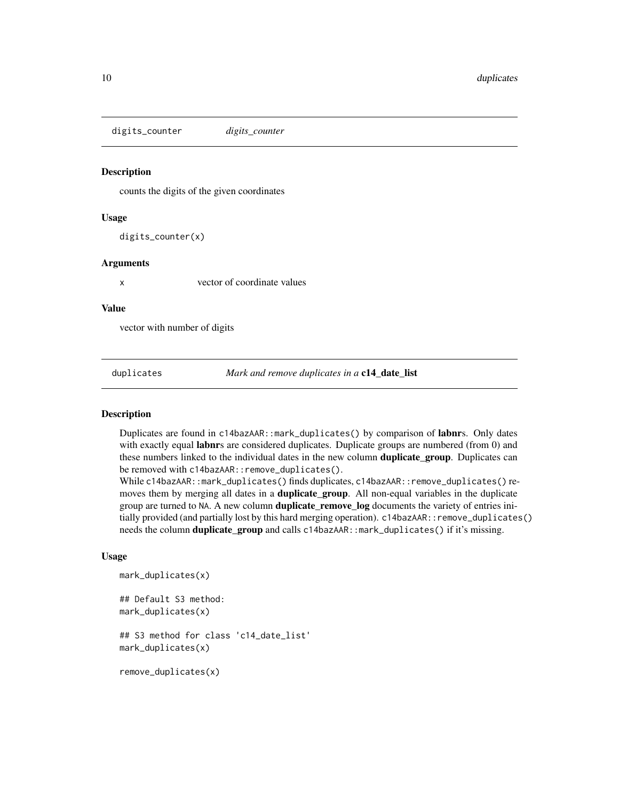<span id="page-9-0"></span>digits\_counter *digits\_counter*

#### Description

counts the digits of the given coordinates

#### Usage

digits\_counter(x)

#### Arguments

x vector of coordinate values

#### Value

vector with number of digits

duplicates *Mark and remove duplicates in a* c14\_date\_list

#### Description

Duplicates are found in c14bazAAR::mark\_duplicates() by comparison of labnrs. Only dates with exactly equal labnrs are considered duplicates. Duplicate groups are numbered (from 0) and these numbers linked to the individual dates in the new column **duplicate\_group**. Duplicates can be removed with c14bazAAR::remove\_duplicates().

While c14bazAAR::mark\_duplicates() finds duplicates, c14bazAAR::remove\_duplicates() removes them by merging all dates in a duplicate\_group. All non-equal variables in the duplicate group are turned to NA. A new column duplicate\_remove\_log documents the variety of entries initially provided (and partially lost by this hard merging operation). c14bazAAR::remove\_duplicates() needs the column duplicate\_group and calls c14bazAAR::mark\_duplicates() if it's missing.

#### Usage

```
mark_duplicates(x)
```
## Default S3 method: mark\_duplicates(x)

## S3 method for class 'c14\_date\_list' mark\_duplicates(x)

remove\_duplicates(x)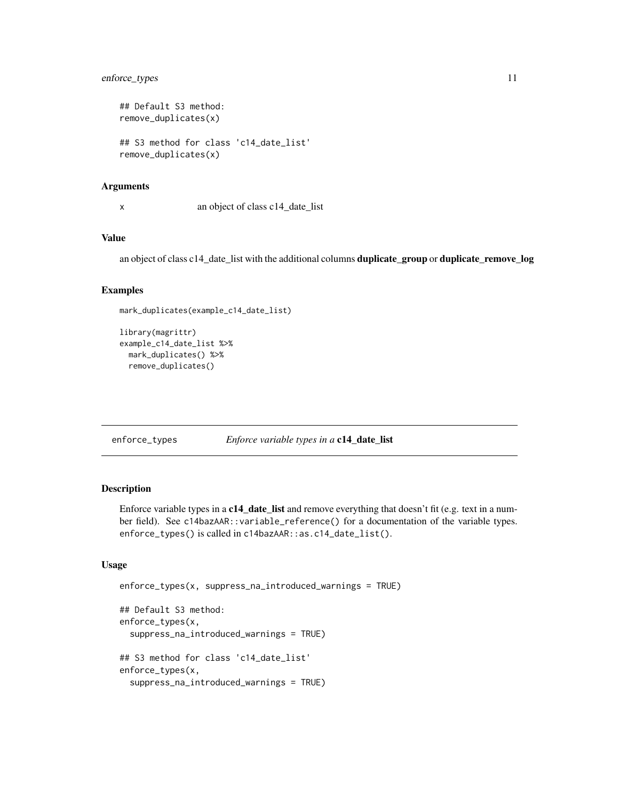# <span id="page-10-0"></span>enforce\_types 11

```
## Default S3 method:
remove_duplicates(x)
## S3 method for class 'c14_date_list'
remove_duplicates(x)
```
#### Arguments

x an object of class c14\_date\_list

# Value

an object of class c14\_date\_list with the additional columns duplicate\_group or duplicate\_remove\_log

#### Examples

```
mark_duplicates(example_c14_date_list)
```

```
library(magrittr)
example_c14_date_list %>%
 mark_duplicates() %>%
 remove_duplicates()
```
enforce\_types *Enforce variable types in a* c14\_date\_list

# Description

Enforce variable types in a **c14\_date\_list** and remove everything that doesn't fit (e.g. text in a number field). See c14bazAAR::variable\_reference() for a documentation of the variable types. enforce\_types() is called in c14bazAAR::as.c14\_date\_list().

#### Usage

```
enforce_types(x, suppress_na_introduced_warnings = TRUE)
## Default S3 method:
enforce_types(x,
  suppress_na_introduced_warnings = TRUE)
## S3 method for class 'c14_date_list'
enforce_types(x,
  suppress_na_introduced_warnings = TRUE)
```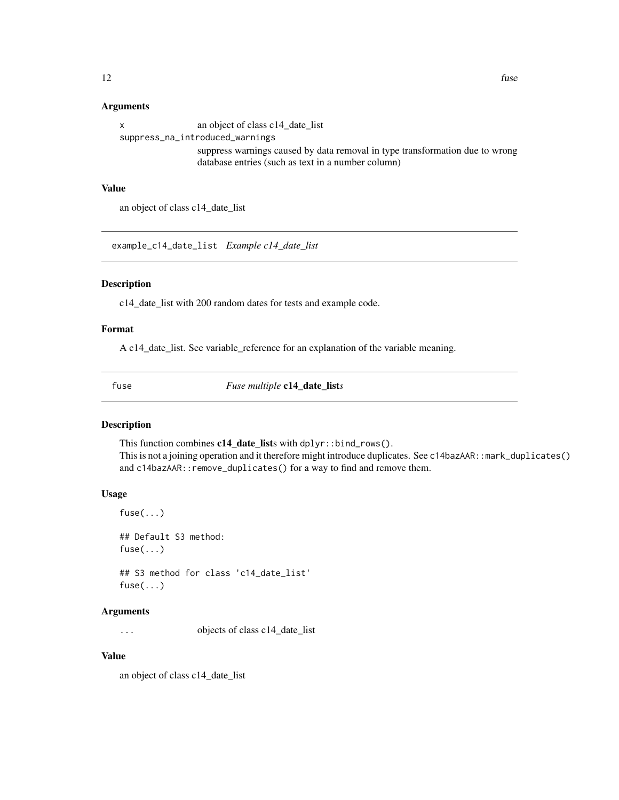#### <span id="page-11-0"></span>Arguments

| $\mathsf{x}$ | an object of class c14_date_list                                             |
|--------------|------------------------------------------------------------------------------|
|              | suppress_na_introduced_warnings                                              |
|              | suppress warnings caused by data removal in type transformation due to wrong |
|              | database entries (such as text in a number column)                           |

# Value

an object of class c14\_date\_list

example\_c14\_date\_list *Example c14\_date\_list*

# Description

c14\_date\_list with 200 random dates for tests and example code.

# Format

A c14\_date\_list. See variable\_reference for an explanation of the variable meaning.

fuse *Fuse multiple* c14\_date\_list*s*

# Description

This function combines  $c14$ \_date\_lists with dplyr::bind\_rows(). This is not a joining operation and it therefore might introduce duplicates. See c14bazAAR: :mark\_duplicates() and c14bazAAR::remove\_duplicates() for a way to find and remove them.

# Usage

```
fuse(...)
## Default S3 method:
fuse(...)## S3 method for class 'c14_date_list'
fuse(...)
```
# Arguments

... objects of class c14\_date\_list

# Value

an object of class c14\_date\_list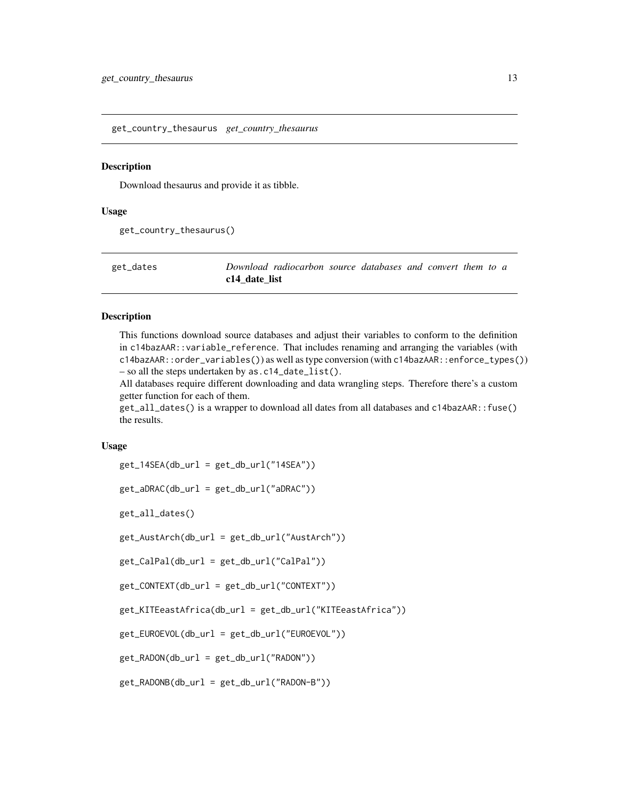<span id="page-12-0"></span>get\_country\_thesaurus *get\_country\_thesaurus*

#### **Description**

Download thesaurus and provide it as tibble.

#### Usage

```
get_country_thesaurus()
```
get\_dates *Download radiocarbon source databases and convert them to a* c14\_date\_list

# **Description**

This functions download source databases and adjust their variables to conform to the definition in c14bazAAR::variable\_reference. That includes renaming and arranging the variables (with c14bazAAR::order\_variables()) as well as type conversion (with c14bazAAR::enforce\_types()) – so all the steps undertaken by as.c14\_date\_list().

All databases require different downloading and data wrangling steps. Therefore there's a custom getter function for each of them.

get\_all\_dates() is a wrapper to download all dates from all databases and c14bazAAR::fuse() the results.

### Usage

 $get_14SEA(db_url = get_db_url("14SEA"))$ 

get\_aDRAC(db\_url = get\_db\_url("aDRAC"))

get\_all\_dates()

get\_AustArch(db\_url = get\_db\_url("AustArch"))

get\_CalPal(db\_url = get\_db\_url("CalPal"))

get\_CONTEXT(db\_url = get\_db\_url("CONTEXT"))

get\_KITEeastAfrica(db\_url = get\_db\_url("KITEeastAfrica"))

get\_EUROEVOL(db\_url = get\_db\_url("EUROEVOL"))

get\_RADON(db\_url = get\_db\_url("RADON"))

get\_RADONB(db\_url = get\_db\_url("RADON-B"))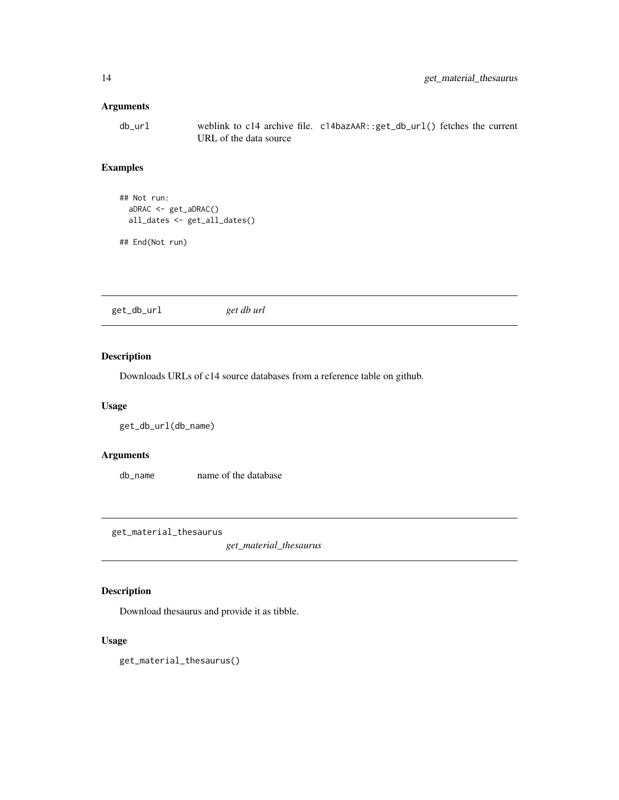## <span id="page-13-0"></span>Arguments

db\_url weblink to c14 archive file. c14bazAAR::get\_db\_url() fetches the current URL of the data source

### Examples

```
## Not run:
 aDRAC <- get_aDRAC()
 all_dates <- get_all_dates()
```

```
## End(Not run)
```
get\_db\_url *get db url*

# Description

Downloads URLs of c14 source databases from a reference table on github.

#### Usage

```
get_db_url(db_name)
```
# Arguments

db\_name name of the database

get\_material\_thesaurus

*get\_material\_thesaurus*

# Description

Download thesaurus and provide it as tibble.

#### Usage

get\_material\_thesaurus()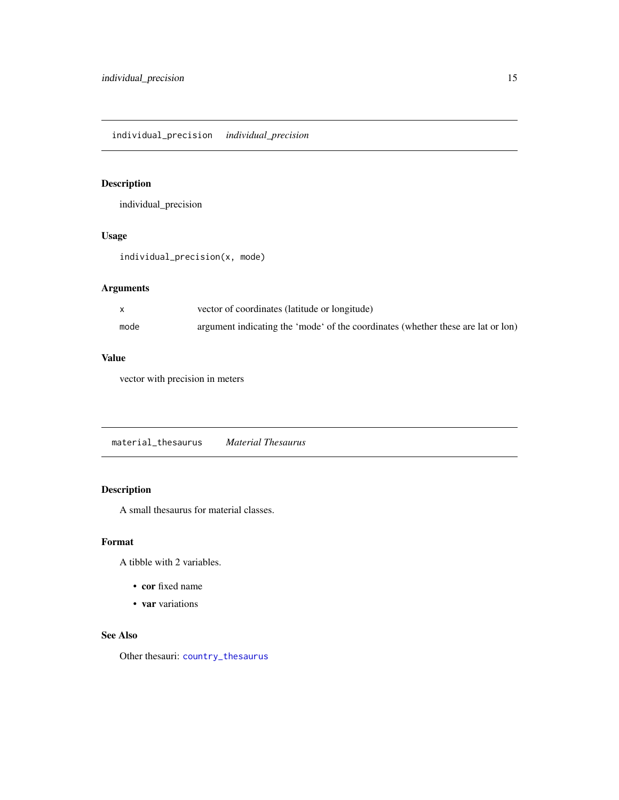# <span id="page-14-0"></span>Description

individual\_precision

# Usage

individual\_precision(x, mode)

# Arguments

|      | vector of coordinates (latitude or longitude)                                    |
|------|----------------------------------------------------------------------------------|
| mode | argument indicating the 'mode' of the coordinates (whether these are lat or lon) |

### Value

vector with precision in meters

```
material_thesaurus Material Thesaurus
```
# Description

A small thesaurus for material classes.

#### Format

A tibble with 2 variables.

- cor fixed name
- var variations

#### See Also

Other thesauri: [country\\_thesaurus](#page-6-1)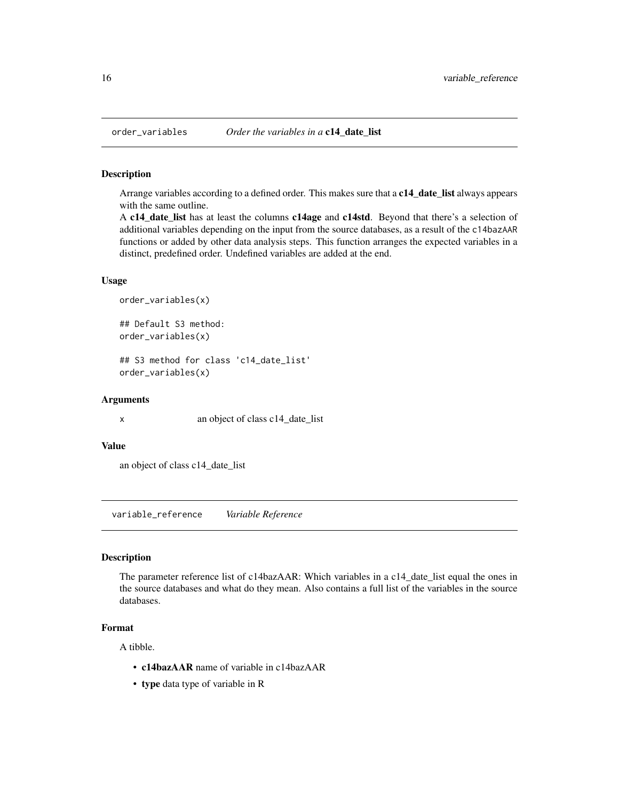#### Description

Arrange variables according to a defined order. This makes sure that a c14\_date\_list always appears with the same outline.

A c14\_date\_list has at least the columns c14age and c14std. Beyond that there's a selection of additional variables depending on the input from the source databases, as a result of the c14bazAAR functions or added by other data analysis steps. This function arranges the expected variables in a distinct, predefined order. Undefined variables are added at the end.

#### Usage

```
order_variables(x)
```
## Default S3 method: order\_variables(x)

## S3 method for class 'c14\_date\_list' order\_variables(x)

#### Arguments

x an object of class c14\_date\_list

#### Value

an object of class c14\_date\_list

variable\_reference *Variable Reference*

#### Description

The parameter reference list of c14bazAAR: Which variables in a c14\_date\_list equal the ones in the source databases and what do they mean. Also contains a full list of the variables in the source databases.

# Format

A tibble.

- c14bazAAR name of variable in c14bazAAR
- type data type of variable in R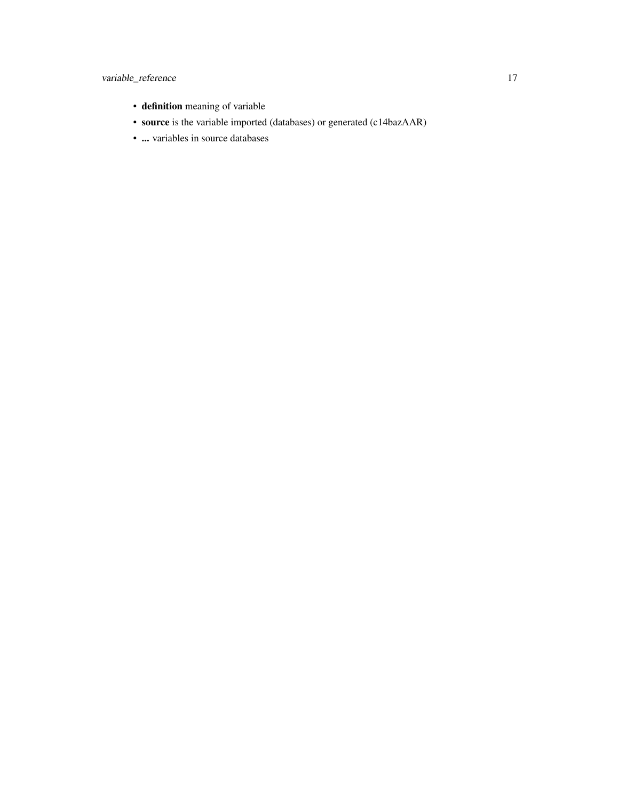# variable\_reference 17

- definition meaning of variable
- source is the variable imported (databases) or generated (c14bazAAR)
- ... variables in source databases